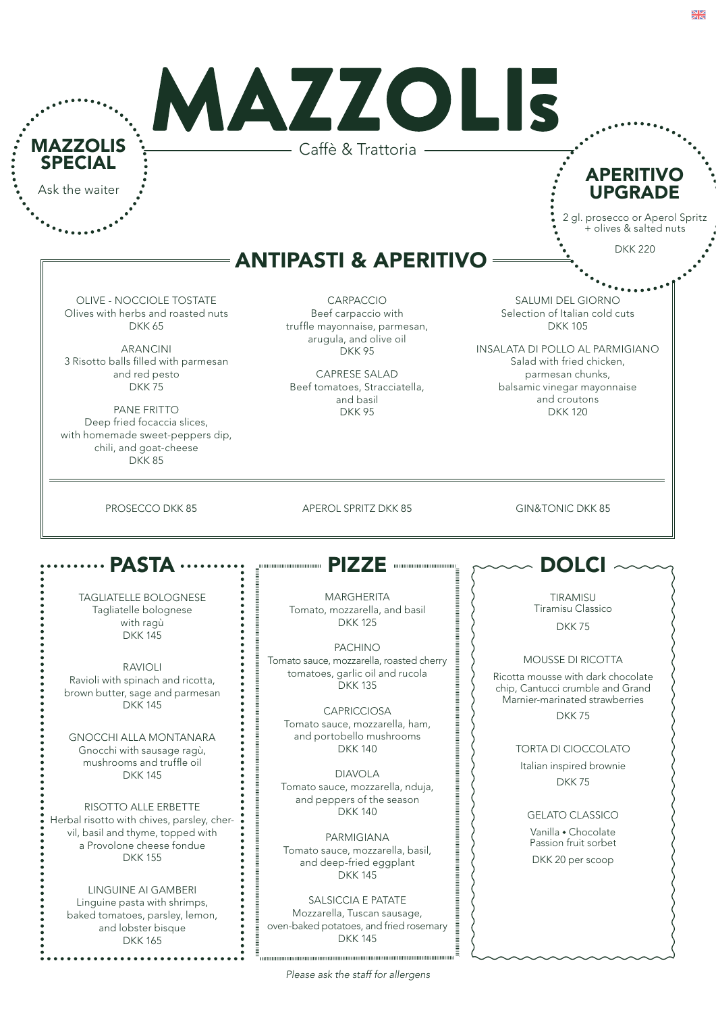|                                                                                                                          | MAZZOLIS                                                                                     |                                                                                             |
|--------------------------------------------------------------------------------------------------------------------------|----------------------------------------------------------------------------------------------|---------------------------------------------------------------------------------------------|
| <b>MAZZOLIS</b>                                                                                                          | Caffè & Trattoria -                                                                          |                                                                                             |
| <b>SPECIAL</b><br>Ask the waiter                                                                                         |                                                                                              | <b>APERITIVO</b><br><b>UPGRADE</b>                                                          |
|                                                                                                                          |                                                                                              | 2 gl. prosecco or Aperol Spritz<br>+ olives & salted nuts                                   |
|                                                                                                                          | <b>ANTIPASTI &amp; APERITIVO</b>                                                             | <b>DKK 220</b>                                                                              |
|                                                                                                                          |                                                                                              |                                                                                             |
| <b>OLIVE - NOCCIOLE TOSTATE</b><br>Olives with herbs and roasted nuts<br><b>DKK 65</b>                                   | CARPACCIO<br>Beef carpaccio with<br>truffle mayonnaise, parmesan,                            | <b>SALUMI DEL GIORNO</b><br>Selection of Italian cold cuts<br><b>DKK105</b>                 |
| <b>ARANCINI</b><br>3 Risotto balls filled with parmesan<br>and red pesto                                                 | arugula, and olive oil<br><b>DKK95</b><br><b>CAPRESE SALAD</b>                               | INSALATA DI POLLO AL PARMIGIANO<br>Salad with fried chicken,<br>parmesan chunks,            |
| <b>DKK75</b>                                                                                                             | Beef tomatoes, Stracciatella,                                                                | balsamic vinegar mayonnaise                                                                 |
| PANE FRITTO<br>Deep fried focaccia slices,<br>with homemade sweet-peppers dip,<br>chili, and goat-cheese<br><b>DKK85</b> | and basil<br><b>DKK95</b>                                                                    | and croutons<br><b>DKK 120</b>                                                              |
|                                                                                                                          |                                                                                              |                                                                                             |
|                                                                                                                          |                                                                                              |                                                                                             |
| <b>PASTA</b>                                                                                                             | <b>PIZZE</b><br>0000000000000000000                                                          | DOLCI                                                                                       |
| TAGLIATELLE BOLOGNESE                                                                                                    | MARGHERITA                                                                                   | TIRAMISU                                                                                    |
| Tagliatelle bolognese<br>with ragù                                                                                       | Tomato, mozzarella, and basil<br><b>DKK125</b>                                               | Tiramisu Classico<br><b>DKK75</b>                                                           |
| <b>DKK145</b>                                                                                                            | <b>PACHINO</b>                                                                               |                                                                                             |
| <b>RAVIOLI</b><br>Ravioli with spinach and ricotta,<br>brown butter, sage and parmesan                                   | Tomato sauce, mozzarella, roasted cherry<br>tomatoes, garlic oil and rucola<br><b>DKK135</b> | MOUSSE DI RICOTTA<br>Ricotta mousse with dark chocolate<br>chip, Cantucci crumble and Grand |
| <b>DKK145</b>                                                                                                            | <b>CAPRICCIOSA</b>                                                                           | Marnier-marinated strawberries<br>DKK75                                                     |
| <b>GNOCCHI ALLA MONTANARA</b>                                                                                            | Tomato sauce, mozzarella, ham,<br>and portobello mushrooms                                   |                                                                                             |
| Gnocchi with sausage ragù,<br>mushrooms and truffle oil                                                                  | <b>DKK 140</b>                                                                               | <b>TORTA DI CIOCCOLATO</b>                                                                  |
| <b>DKK145</b>                                                                                                            | <b>DIAVOLA</b><br>Tomato sauce, mozzarella, nduja,                                           | Italian inspired brownie<br><b>DKK75</b>                                                    |
| RISOTTO ALLE ERBETTE                                                                                                     | and peppers of the season<br><b>DKK 140</b>                                                  | <b>GELATO CLASSICO</b>                                                                      |
| vil, basil and thyme, topped with                                                                                        |                                                                                              | Vanilla • Chocolate                                                                         |
| a Provolone cheese fondue<br><b>DKK155</b>                                                                               | PARMIGIANA<br>Tomato sauce, mozzarella, basil,<br>and deep-fried eggplant<br><b>DKK 145</b>  | Passion fruit sorbet<br>DKK 20 per scoop                                                    |
| Herbal risotto with chives, parsley, cher-<br>LINGUINE AI GAMBERI                                                        |                                                                                              |                                                                                             |
| Linguine pasta with shrimps,<br>baked tomatoes, parsley, lemon,                                                          | SALSICCIA E PATATE<br>Mozzarella, Tuscan sausage,<br>oven-baked potatoes, and fried rosemary |                                                                                             |

. . . . . . . . . . .

š

*Please ask the staff for allergens*

 $\frac{N}{2}$